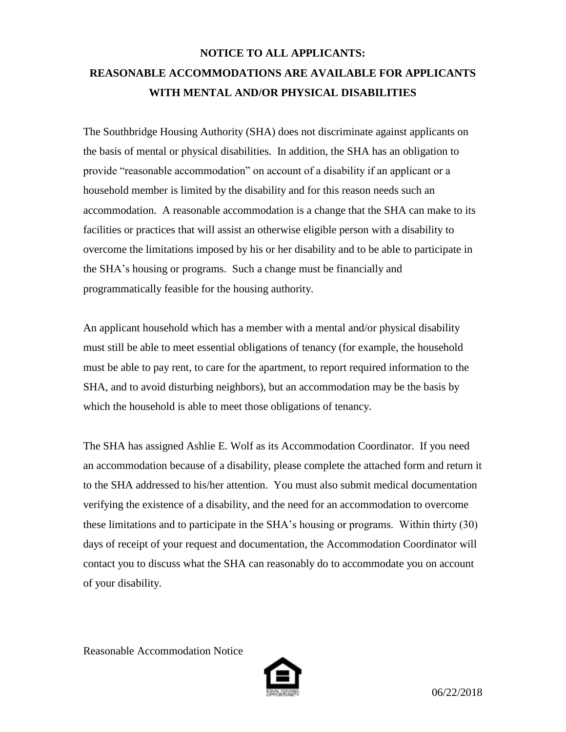## **NOTICE TO ALL APPLICANTS: REASONABLE ACCOMMODATIONS ARE AVAILABLE FOR APPLICANTS WITH MENTAL AND/OR PHYSICAL DISABILITIES**

The Southbridge Housing Authority (SHA) does not discriminate against applicants on the basis of mental or physical disabilities. In addition, the SHA has an obligation to provide "reasonable accommodation" on account of a disability if an applicant or a household member is limited by the disability and for this reason needs such an accommodation. A reasonable accommodation is a change that the SHA can make to its facilities or practices that will assist an otherwise eligible person with a disability to overcome the limitations imposed by his or her disability and to be able to participate in the SHA's housing or programs. Such a change must be financially and programmatically feasible for the housing authority.

An applicant household which has a member with a mental and/or physical disability must still be able to meet essential obligations of tenancy (for example, the household must be able to pay rent, to care for the apartment, to report required information to the SHA, and to avoid disturbing neighbors), but an accommodation may be the basis by which the household is able to meet those obligations of tenancy.

The SHA has assigned Ashlie E. Wolf as its Accommodation Coordinator. If you need an accommodation because of a disability, please complete the attached form and return it to the SHA addressed to his/her attention. You must also submit medical documentation verifying the existence of a disability, and the need for an accommodation to overcome these limitations and to participate in the SHA's housing or programs. Within thirty (30) days of receipt of your request and documentation, the Accommodation Coordinator will contact you to discuss what the SHA can reasonably do to accommodate you on account of your disability.

Reasonable Accommodation Notice